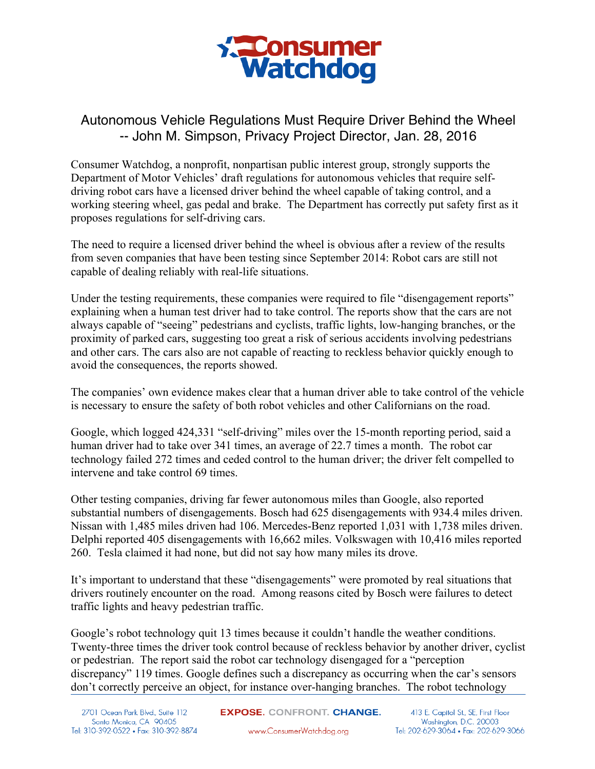

## Autonomous Vehicle Regulations Must Require Driver Behind the Wheel -- John M. Simpson, Privacy Project Director, Jan. 28, 2016

Consumer Watchdog, a nonprofit, nonpartisan public interest group, strongly supports the Department of Motor Vehicles' draft regulations for autonomous vehicles that require selfdriving robot cars have a licensed driver behind the wheel capable of taking control, and a working steering wheel, gas pedal and brake. The Department has correctly put safety first as it proposes regulations for self-driving cars.

The need to require a licensed driver behind the wheel is obvious after a review of the results from seven companies that have been testing since September 2014: Robot cars are still not capable of dealing reliably with real-life situations.

Under the testing requirements, these companies were required to file "disengagement reports" explaining when a human test driver had to take control. The reports show that the cars are not always capable of "seeing" pedestrians and cyclists, traffic lights, low-hanging branches, or the proximity of parked cars, suggesting too great a risk of serious accidents involving pedestrians and other cars. The cars also are not capable of reacting to reckless behavior quickly enough to avoid the consequences, the reports showed.

The companies' own evidence makes clear that a human driver able to take control of the vehicle is necessary to ensure the safety of both robot vehicles and other Californians on the road.

Google, which logged 424,331 "self-driving" miles over the 15-month reporting period, said a human driver had to take over 341 times, an average of 22.7 times a month. The robot car technology failed 272 times and ceded control to the human driver; the driver felt compelled to intervene and take control 69 times.

Other testing companies, driving far fewer autonomous miles than Google, also reported substantial numbers of disengagements. Bosch had 625 disengagements with 934.4 miles driven. Nissan with 1,485 miles driven had 106. Mercedes-Benz reported 1,031 with 1,738 miles driven. Delphi reported 405 disengagements with 16,662 miles. Volkswagen with 10,416 miles reported 260. Tesla claimed it had none, but did not say how many miles its drove.

It's important to understand that these "disengagements" were promoted by real situations that drivers routinely encounter on the road. Among reasons cited by Bosch were failures to detect traffic lights and heavy pedestrian traffic.

Google's robot technology quit 13 times because it couldn't handle the weather conditions. Twenty-three times the driver took control because of reckless behavior by another driver, cyclist or pedestrian. The report said the robot car technology disengaged for a "perception discrepancy" 119 times. Google defines such a discrepancy as occurring when the car's sensors don't correctly perceive an object, for instance over-hanging branches. The robot technology